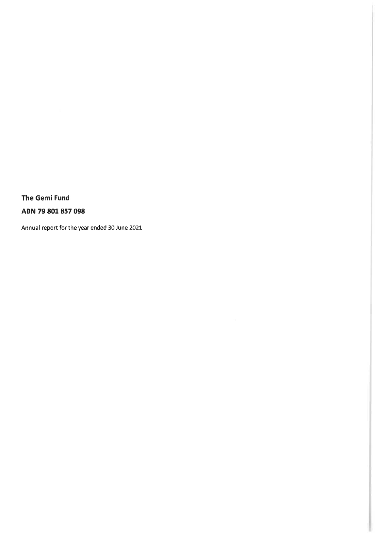The Gemi Fund ABN 79 801 857 098

Annual report for the year ended 30 June 2021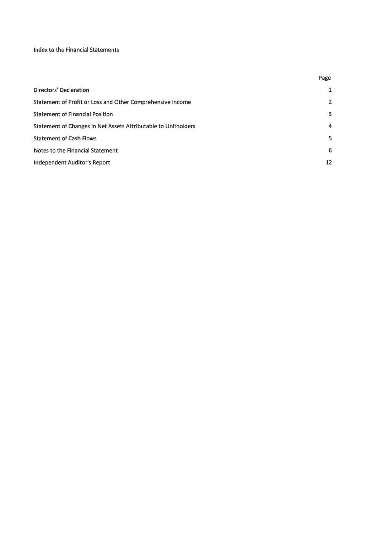### Index to the Financial Statements

|                                                                | Page           |
|----------------------------------------------------------------|----------------|
| Directors' Declaration                                         | 1              |
| Statement of Profit or Loss and Other Comprehensive Income     | $\overline{2}$ |
| <b>Statement of Financial Position</b>                         | 3              |
| Statement of Changes in Net Assets Attributable to Unitholders | $\overline{a}$ |
| <b>Statement of Cash Flows</b>                                 | 5              |
| Notes to the Financial Statement                               | 6              |
| Independent Auditor's Report                                   | 12             |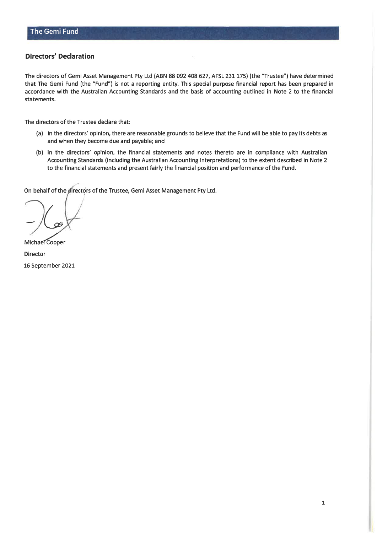### **Directors' Declaration**

The directors of Gemi Asset Management Pty Ltd (ABN 88 092 408 627, AFSL 231 175) (the "Trustee") have determined that The Gemi Fund (the "Fund") is not a reporting entity. This special purpose financial report has been prepared in accordance with the Australian Accounting Standards and the basis of accounting outlined in Note 2 to the financial statements.

The directors of the Trustee declare that:

- (a) in the directors' opinion, there are reasonable grounds to believe that the Fund will be able to pay its debts as and when they become due and payable; and
- (b) in the directors' opinion, the financial statements and notes thereto are in compliance with Australian Accounting Standards (including the Australian Accounting Interpretations) to the extent described in Note 2 to the financial statements and present fairly the financial position and performance of the Fund.

On behalf of the directors of the Trustee, Gemi Asset Management Pty Ltd.

Michael Cooper Director 16 September 2021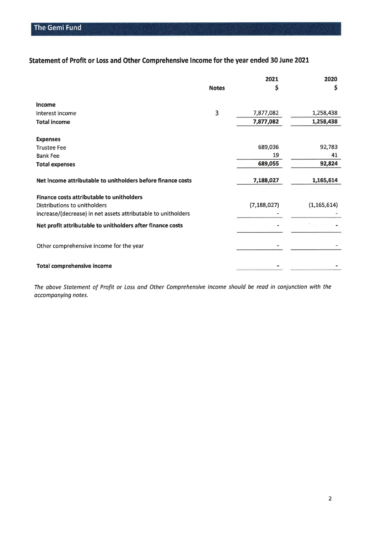## Statement of Profit or Loss and Other Comprehensive Income for the year ended 30 June 2021

|                                                                                                                                                   |              | 2021          | 2020          |
|---------------------------------------------------------------------------------------------------------------------------------------------------|--------------|---------------|---------------|
|                                                                                                                                                   | <b>Notes</b> | \$            | \$            |
| <b>Income</b>                                                                                                                                     |              |               |               |
| Interest income                                                                                                                                   | 3            | 7,877,082     | 1,258,438     |
| <b>Total income</b>                                                                                                                               |              | 7,877,082     | 1,258,438     |
| <b>Expenses</b>                                                                                                                                   |              |               |               |
| <b>Trustee Fee</b>                                                                                                                                |              | 689,036       | 92,783        |
| <b>Bank Fee</b>                                                                                                                                   |              | 19            | 41            |
| <b>Total expenses</b>                                                                                                                             |              | 689,055       | 92,824        |
| Net income attributable to unitholders before finance costs                                                                                       |              | 7,188,027     | 1,165,614     |
| <b>Finance costs attributable to unitholders</b><br>Distributions to unitholders<br>Increase/(decrease) in net assets attributable to unitholders |              | (7, 188, 027) | (1, 165, 614) |
| Net profit attributable to unitholders after finance costs                                                                                        |              |               |               |
| Other comprehensive income for the year                                                                                                           |              |               |               |
| Total comprehensive income                                                                                                                        |              |               |               |

The above Statement of Profit or Loss and Other Comprehensive Income should be read in conjunction with the accompanying notes.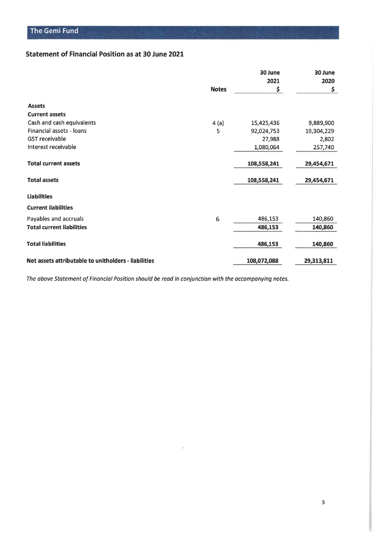### Statement of Financial Position as at 30 June 2021

|                                                      |              | 30 June<br>2021 | 30 June<br>2020 |
|------------------------------------------------------|--------------|-----------------|-----------------|
|                                                      | <b>Notes</b> | \$              | \$              |
| <b>Assets</b>                                        |              |                 |                 |
| <b>Current assets</b>                                |              |                 |                 |
| Cash and cash equivalents                            | 4(a)         | 15,425,436      | 9,889,900       |
| Financial assets - Ioans                             | 5            | 92,024,753      | 19,304,229      |
| <b>GST</b> receivable                                |              | 27,988          | 2,802           |
| Interest receivable                                  |              | 1,080,064       | 257,740         |
| <b>Total current assets</b>                          |              | 108,558,241     | 29,454,671      |
| <b>Total assets</b>                                  |              | 108,558,241     | 29,454,671      |
| <b>Liabilities</b>                                   |              |                 |                 |
| <b>Current liabilities</b>                           |              |                 |                 |
| Payables and accruals                                | 6            | 486,153         | 140,860         |
| <b>Total current liabilities</b>                     |              | 486,153         | 140,860         |
| <b>Total liabilities</b>                             |              | 486,153         | 140,860         |
| Net assets attributable to unitholders - liabilities |              | 108,072,088     | 29,313,811      |

 $\cdot$ 

The above Statement of Financial Position should be read in conjunction with the accompanying notes.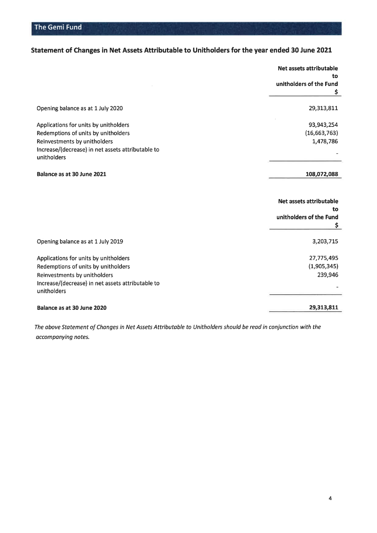## Statement of Changes in Net Assets Attributable to Unitholders for the year ended 30 June 2021

|                                                                                                                                                                                  | Net assets attributable<br>to<br>unitholders of the Fund<br>\$ |
|----------------------------------------------------------------------------------------------------------------------------------------------------------------------------------|----------------------------------------------------------------|
| Opening balance as at 1 July 2020                                                                                                                                                | 29,313,811                                                     |
| Applications for units by unitholders<br>Redemptions of units by unitholders<br>Reinvestments by unitholders<br>Increase/(decrease) in net assets attributable to<br>unitholders | 93,943,254<br>(16,663,763)<br>1,478,786                        |
| Balance as at 30 June 2021                                                                                                                                                       | 108,072,088                                                    |
|                                                                                                                                                                                  | Net assets attributable                                        |
|                                                                                                                                                                                  | to<br>unitholders of the Fund<br>\$                            |
| Opening balance as at 1 July 2019                                                                                                                                                | 3,203,715                                                      |
| Applications for units by unitholders<br>Redemptions of units by unitholders<br>Reinvestments by unitholders<br>Increase/(decrease) in net assets attributable to<br>unitholders | 27,775,495<br>(1,905,345)<br>239,946                           |

The above Statement of Changes in Net Assets Attributable to Unitholders should be read in conjunction with the accompanying notes.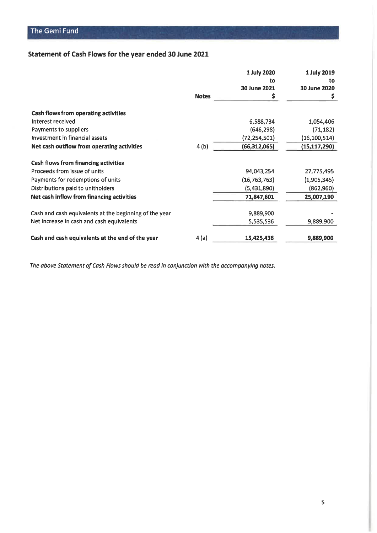# Statement of Cash Flows for the year ended 30 June 2021

|              | 1 July 2020    | 1 July 2019                                                          |
|--------------|----------------|----------------------------------------------------------------------|
|              | to             | to                                                                   |
|              | 30 June 2021   | 30 June 2020                                                         |
| <b>Notes</b> | Ş              | Ş                                                                    |
|              |                |                                                                      |
|              |                | 1,054,406                                                            |
|              | (646, 298)     | (71, 182)                                                            |
|              | (72, 254, 501) | (16, 100, 514)                                                       |
| 4(b)         | (66, 312, 065) | (15, 117, 290)                                                       |
|              |                |                                                                      |
|              |                | 27,775,495                                                           |
|              |                | (1,905,345)                                                          |
|              | (5,431,890)    | (862, 960)                                                           |
|              | 71,847,601     | 25,007,190                                                           |
|              |                |                                                                      |
|              | 5,535,536      | 9,889,900                                                            |
|              |                | 9,889,900                                                            |
|              | 4(a)           | 6,588,734<br>94,043,254<br>(16, 763, 763)<br>9,889,900<br>15,425,436 |

The above Statement of Cash Flows should be read in conjunction with the accompanying notes.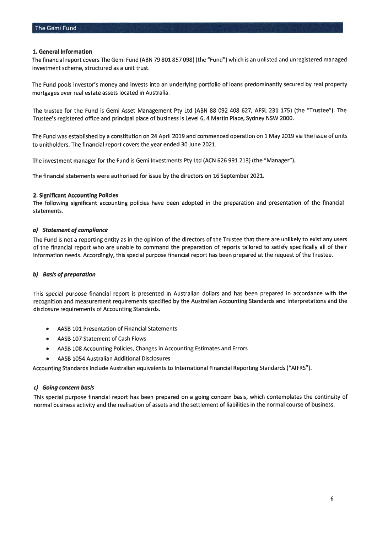#### 1. General Information

The financial report covers The Gemi Fund (ABN 79 801 857 098) (the "Fund") which is an unlisted and unregistered managed investment scheme, structured as a unit trust.

The Fund pools investor's money and invests into an underlying portfolio of loans predominantly secured by real property mortgages over real estate assets located in Australia.

The trustee for the Fund is Gemi Asset Management Pty Ltd (ABN 88 092 408 627, AFSL 231 175) (the "Trustee"). The Trustee's registered office and principal place of business is Level 6, 4 Martin Place, Sydney NSW 2000.

The Fund was established by a constitution on 24 April 2019 and commenced operation on 1 May 2019 via the issue of units to unitholders. The financial report covers the year ended 30 June 2021.

The investment manager for the Fund is Gemi Investments Pty Ltd (ACN 626 991 213) (the "Manager").

The financial statements were authorised for issue by the directors on 16 September 2021.

#### 2. Significant Accounting Policies

The following significant accounting policies have been adopted in the preparation and presentation of the financial statements.

#### a) Statement of compliance

The Fund is not a reporting entity as in the opinion of the directors of the Trustee that there are unlikely to exist any users of the financial report who are unable to command the preparation of reports tailored to satisfy specifically all of their information needs. Accordingly, this special purpose financial report has been prepared at the request of the Trustee.

#### b) Basis of preparation

This special purpose financial report is presented in Australian dollars and has been prepared in accordance with the recognition and measurement requirements specified by the Australian Accounting Standards and Interpretations and the disclosure requirements of Accounting Standards.

- AASB 101 Presentation of Financial Statements
- $\bullet$ AASB 107 Statement of Cash Flows
- AASB 108 Accounting Policies, Changes in Accounting Estimates and Errors  $\bullet$
- AASB 1054 Australian Additional Disclosures  $\bullet$

Accounting Standards include Australian equivalents to International Financial Reporting Standards ("AIFRS").

#### c) Going concern basis

This special purpose financial report has been prepared on a going concern basis, which contemplates the continuity of normal business activity and the realisation of assets and the settlement of liabilities in the normal course of business.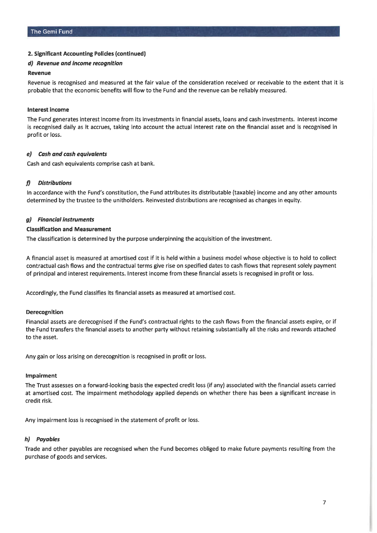#### 2. Significant Accounting Policies (continued)

#### d) Revenue and income recognition

#### Revenue

Revenue is recognised and measured at the fair value of the consideration received or receivable to the extent that it is probable that the economic benefits will flow to the Fund and the revenue can be reliably measured.

#### Interest income

The Fund generates interest income from its investments in financial assets, loans and cash investments. Interest income is recognised daily as it accrues, taking into account the actual interest rate on the financial asset and is recognised in profit or loss.

#### e) Cash and cash equivalents

Cash and cash equivalents comprise cash at bank.

#### $\boldsymbol{\eta}$ **Distributions**

In accordance with the Fund's constitution, the Fund attributes its distributable (taxable) income and any other amounts determined by the trustee to the unitholders. Reinvested distributions are recognised as changes in equity.

#### a) Financial instruments

#### **Classification and Measurement**

The classification is determined by the purpose underpinning the acquisition of the investment.

A financial asset is measured at amortised cost if it is held within a business model whose objective is to hold to collect contractual cash flows and the contractual terms give rise on specified dates to cash flows that represent solely payment of principal and interest requirements. Interest income from these financial assets is recognised in profit or loss.

Accordingly, the Fund classifies its financial assets as measured at amortised cost.

#### Derecognition

Financial assets are derecognised if the Fund's contractual rights to the cash flows from the financial assets expire, or if the Fund transfers the financial assets to another party without retaining substantially all the risks and rewards attached to the asset.

Any gain or loss arising on derecognition is recognised in profit or loss.

#### Impairment

The Trust assesses on a forward-looking basis the expected credit loss (if any) associated with the financial assets carried at amortised cost. The impairment methodology applied depends on whether there has been a significant increase in credit risk.

Any impairment loss is recognised in the statement of profit or loss.

#### h) Payables

Trade and other payables are recognised when the Fund becomes obliged to make future payments resulting from the purchase of goods and services.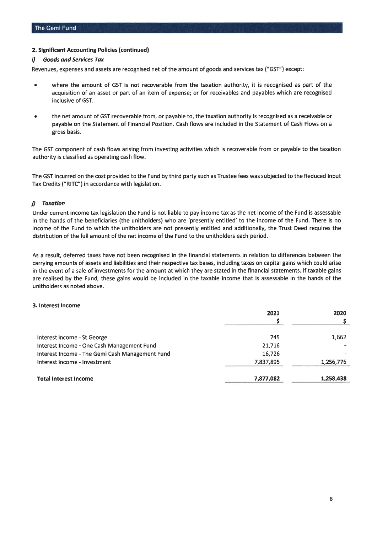#### 2. Significant Accounting Policies (continued)

#### **Goods and Services Tax** D.

Revenues, expenses and assets are recognised net of the amount of goods and services tax ("GST") except:

- where the amount of GST is not recoverable from the taxation authority, it is recognised as part of the  $\bullet$ acquisition of an asset or part of an item of expense; or for receivables and payables which are recognised inclusive of GST.
- the net amount of GST recoverable from, or payable to, the taxation authority is recognised as a receivable or payable on the Statement of Financial Position. Cash flows are included in the Statement of Cash Flows on a gross basis.

The GST component of cash flows arising from investing activities which is recoverable from or payable to the taxation authority is classified as operating cash flow.

The GST incurred on the cost provided to the Fund by third party such as Trustee fees was subjected to the Reduced Input Tax Credits ("RITC") in accordance with legislation.

#### j) Taxation

Under current income tax legislation the Fund is not liable to pay income tax as the net income of the Fund is assessable in the hands of the beneficiaries (the unitholders) who are 'presently entitled' to the income of the Fund. There is no income of the Fund to which the unitholders are not presently entitled and additionally, the Trust Deed requires the distribution of the full amount of the net income of the Fund to the unitholders each period.

As a result, deferred taxes have not been recognised in the financial statements in relation to differences between the carrying amounts of assets and liabilities and their respective tax bases, including taxes on capital gains which could arise in the event of a sale of investments for the amount at which they are stated in the financial statements. If taxable gains are realised by the Fund, these gains would be included in the taxable income that is assessable in the hands of the unitholders as noted above.

#### 3. Interest Income

|                                                 | 2021      | 2020      |
|-------------------------------------------------|-----------|-----------|
|                                                 |           |           |
| Interest income - St George                     | 745       | 1,662     |
| Interest Income - One Cash Management Fund      | 21,716    |           |
| Interest Income - The Gemi Cash Management Fund | 16,726    |           |
| Interest income - Investment                    | 7,837,895 | 1,256,776 |
| <b>Total Interest Income</b>                    | 7,877,082 | 1,258,438 |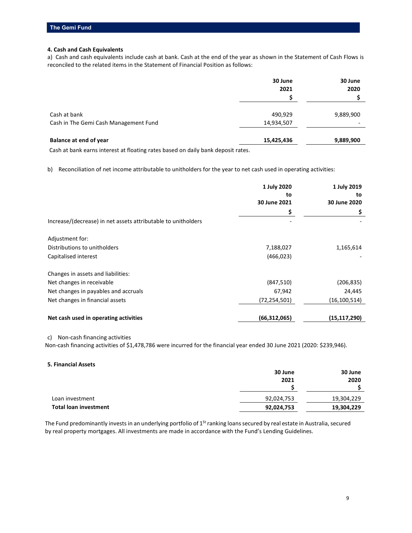#### **4. Cash and Cash Equivalents**

a) Cash and cash equivalents include cash at bank. Cash at the end of the year as shown in the Statement of Cash Flows is reconciled to the related items in the Statement of Financial Position as follows:

|                                       | 30 June<br>2021 | 30 June<br>2020 |
|---------------------------------------|-----------------|-----------------|
| Cash at bank                          | 490,929         | 9,889,900       |
| Cash in The Gemi Cash Management Fund | 14,934,507      | -               |
| Balance at end of year                | 15,425,436      | 9,889,900       |

Cash at bank earns interest at floating rates based on daily bank deposit rates.

b) Reconciliation of net income attributable to unitholders for the year to net cash used in operating activities:

|                                                               | 1 July 2020<br>to<br>30 June 2021 | 1 July 2019<br>to<br>30 June 2020 |
|---------------------------------------------------------------|-----------------------------------|-----------------------------------|
|                                                               | \$                                | Ş                                 |
| Increase/(decrease) in net assets attributable to unitholders |                                   |                                   |
| Adjustment for:                                               |                                   |                                   |
| Distributions to unitholders                                  | 7,188,027                         | 1,165,614                         |
| Capitalised interest                                          | (466, 023)                        |                                   |
| Changes in assets and liabilities:                            |                                   |                                   |
| Net changes in receivable                                     | (847, 510)                        | (206, 835)                        |
| Net changes in payables and accruals                          | 67,942                            | 24,445                            |
| Net changes in financial assets                               | (72, 254, 501)                    | (16, 100, 514)                    |
| Net cash used in operating activities                         | (66, 312, 065)                    | (15, 117, 290)                    |

c) Non-cash financing activities

Non-cash financing activities of \$1,478,786 were incurred for the financial year ended 30 June 2021 (2020: \$239,946).

#### **5. Financial Assets**

|                              | 30 June    | 30 June    |
|------------------------------|------------|------------|
|                              | 2021       | 2020       |
|                              |            |            |
| Loan investment              | 92,024,753 | 19,304,229 |
| <b>Total loan investment</b> | 92,024,753 | 19,304,229 |

The Fund predominantly invests in an underlying portfolio of 1<sup>St</sup> ranking loans secured by real estate in Australia, secured by real property mortgages. All investments are made in accordance with the Fund's Lending Guidelines.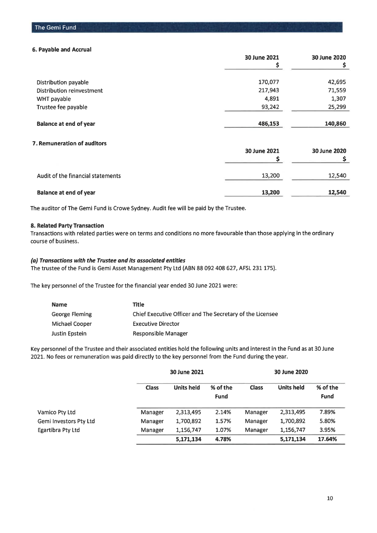#### 6. Payable and Accrual

|                               | 30 June 2021 | 30 June 2020 |
|-------------------------------|--------------|--------------|
|                               |              |              |
| Distribution payable          | 170,077      | 42,695       |
| Distribution reinvestment     | 217,943      | 71,559       |
| WHT payable                   | 4,891        | 1,307        |
| Trustee fee payable           | 93,242       | 25,299       |
| <b>Balance at end of year</b> | 486,153      | 140,860      |

### 7. Remuneration of auditors

|                                   | 30 June 2021 | 30 June 2020 |
|-----------------------------------|--------------|--------------|
| Audit of the financial statements | 13,200       | 12,540       |
| Balance at end of year            | 13,200       | 12,540       |

The auditor of The Gemi Fund is Crowe Sydney. Audit fee will be paid by the Trustee.

#### 8. Related Party Transaction

Transactions with related parties were on terms and conditions no more favourable than those applying in the ordinary course of business.

#### (a) Transactions with the Trustee and its associated entities

The trustee of the Fund is Gemi Asset Management Pty Ltd (ABN 88 092 408 627, AFSL 231 175).

The key personnel of the Trustee for the financial year ended 30 June 2021 were:

| <b>Name</b>    | Title                                                     |
|----------------|-----------------------------------------------------------|
| George Fleming | Chief Executive Officer and The Secretary of the Licensee |
| Michael Cooper | <b>Executive Director</b>                                 |
| Justin Epstein | Responsible Manager                                       |

Key personnel of the Trustee and their associated entities hold the following units and interest in the Fund as at 30 June 2021. No fees or remuneration was paid directly to the key personnel from the Fund during the year.

|                          | 30 June 2021 |                   |                         | 30 June 2020 |                   |                         |
|--------------------------|--------------|-------------------|-------------------------|--------------|-------------------|-------------------------|
|                          | <b>Class</b> | <b>Units held</b> | % of the<br><b>Fund</b> | <b>Class</b> | <b>Units held</b> | % of the<br><b>Fund</b> |
| Vamico Pty Ltd           | Manager      | 2,313,495         | 2.14%                   | Manager      | 2,313,495         | 7.89%                   |
| Gemi Investors Pty Ltd   | Manager      | 1,700,892         | 1.57%                   | Manager      | 1,700,892         | 5.80%                   |
| <b>Egartibra Pty Ltd</b> | Manager      | 1,156,747         | 1.07%                   | Manager      | 1,156,747         | 3.95%                   |
|                          |              | 5,171,134         | 4.78%                   |              | 5,171,134         | 17.64%                  |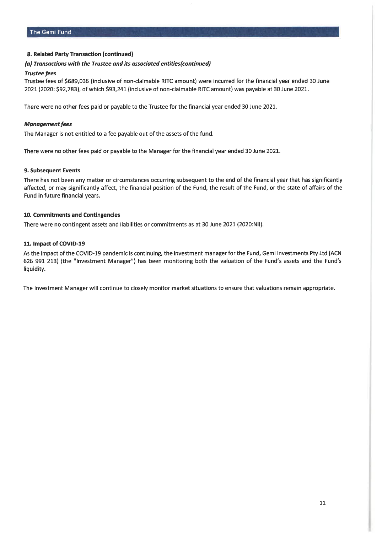#### 8. Related Party Transaction (continued)

#### (a) Transactions with the Trustee and its associated entities (continued)

#### **Trustee fees**

Trustee fees of \$689,036 (inclusive of non-claimable RITC amount) were incurred for the financial year ended 30 June 2021 (2020: \$92,783), of which \$93,241 (inclusive of non-claimable RITC amount) was payable at 30 June 2021.

There were no other fees paid or payable to the Trustee for the financial year ended 30 June 2021.

#### **Management fees**

The Manager is not entitled to a fee payable out of the assets of the fund.

There were no other fees paid or payable to the Manager for the financial year ended 30 June 2021.

#### 9. Subsequent Events

There has not been any matter or circumstances occurring subsequent to the end of the financial year that has significantly affected, or may significantly affect, the financial position of the Fund, the result of the Fund, or the state of affairs of the Fund in future financial years.

#### 10. Commitments and Contingencies

There were no contingent assets and liabilities or commitments as at 30 June 2021 (2020:Nil).

#### 11. Impact of COVID-19

As the impact of the COVID-19 pandemic is continuing, the investment manager for the Fund, Gemi Investments Pty Ltd (ACN 626 991 213) (the "Investment Manager") has been monitoring both the valuation of the Fund's assets and the Fund's liquidity.

The Investment Manager will continue to closely monitor market situations to ensure that valuations remain appropriate.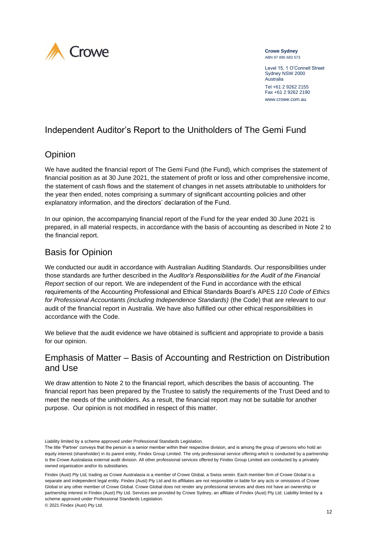

#### **Crowe Sydney** ABN 97 895 683 573

Level 15, 1 O'Connell Street Sydney NSW 2000 Australia Tel +61 2 9262 2155

Fax +61 2 9262 2190 www.crowe.com.au

# Independent Auditor's Report to the Unitholders of The Gemi Fund

# **Opinion**

We have audited the financial report of The Gemi Fund (the Fund), which comprises the statement of financial position as at 30 June 2021, the statement of profit or loss and other comprehensive income, the statement of cash flows and the statement of changes in net assets attributable to unitholders for the year then ended, notes comprising a summary of significant accounting policies and other explanatory information, and the directors' declaration of the Fund.

In our opinion, the accompanying financial report of the Fund for the year ended 30 June 2021 is prepared, in all material respects, in accordance with the basis of accounting as described in Note 2 to the financial report.

## Basis for Opinion

We conducted our audit in accordance with Australian Auditing Standards. Our responsibilities under those standards are further described in the *Auditor's Responsibilities for the Audit of the Financial Report* section of our report. We are independent of the Fund in accordance with the ethical requirements of the Accounting Professional and Ethical Standards Board's APES *110 Code of Ethics for Professional Accountants (including Independence Standards)* (the Code) that are relevant to our audit of the financial report in Australia. We have also fulfilled our other ethical responsibilities in accordance with the Code.

We believe that the audit evidence we have obtained is sufficient and appropriate to provide a basis for our opinion.

### Emphasis of Matter – Basis of Accounting and Restriction on Distribution and Use

We draw attention to Note 2 to the financial report, which describes the basis of accounting. The financial report has been prepared by the Trustee to satisfy the requirements of the Trust Deed and to meet the needs of the unitholders. As a result, the financial report may not be suitable for another purpose. Our opinion is not modified in respect of this matter.

Liability limited by a scheme approved under Professional Standards Legislation.

The title 'Partner' conveys that the person is a senior member within their respective division, and is among the group of persons who hold an equity interest (shareholder) in its parent entity, Findex Group Limited. The only professional service offering which is conducted by a partnership is the Crowe Australasia external audit division. All other professional services offered by Findex Group Limited are conducted by a privately owned organisation and/or its subsidiaries.

Findex (Aust) Pty Ltd, trading as Crowe Australasia is a member of Crowe Global, a Swiss verein. Each member firm of Crowe Global is a separate and independent legal entity. Findex (Aust) Pty Ltd and its affiliates are not responsible or liable for any acts or omissions of Crowe Global or any other member of Crowe Global. Crowe Global does not render any professional services and does not have an ownership or partnership interest in Findex (Aust) Pty Ltd. Services are provided by Crowe Sydney, an affiliate of Findex (Aust) Pty Ltd. Liability limited by a scheme approved under Professional Standards Legislation. © 2021 Findex (Aust) Pty Ltd.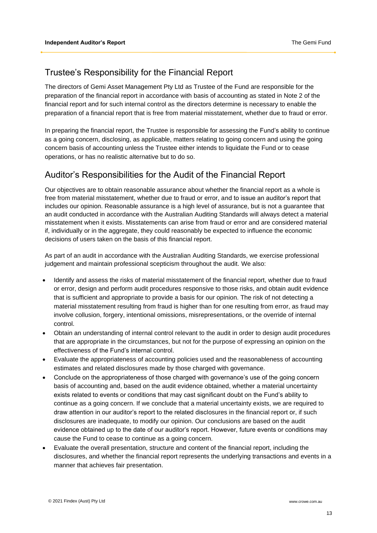### Trustee's Responsibility for the Financial Report

The directors of Gemi Asset Management Pty Ltd as Trustee of the Fund are responsible for the preparation of the financial report in accordance with basis of accounting as stated in Note 2 of the financial report and for such internal control as the directors determine is necessary to enable the preparation of a financial report that is free from material misstatement, whether due to fraud or error.

In preparing the financial report, the Trustee is responsible for assessing the Fund's ability to continue as a going concern, disclosing, as applicable, matters relating to going concern and using the going concern basis of accounting unless the Trustee either intends to liquidate the Fund or to cease operations, or has no realistic alternative but to do so.

### Auditor's Responsibilities for the Audit of the Financial Report

Our objectives are to obtain reasonable assurance about whether the financial report as a whole is free from material misstatement, whether due to fraud or error, and to issue an auditor's report that includes our opinion. Reasonable assurance is a high level of assurance, but is not a guarantee that an audit conducted in accordance with the Australian Auditing Standards will always detect a material misstatement when it exists. Misstatements can arise from fraud or error and are considered material if, individually or in the aggregate, they could reasonably be expected to influence the economic decisions of users taken on the basis of this financial report.

As part of an audit in accordance with the Australian Auditing Standards, we exercise professional judgement and maintain professional scepticism throughout the audit. We also:

- Identify and assess the risks of material misstatement of the financial report, whether due to fraud or error, design and perform audit procedures responsive to those risks, and obtain audit evidence that is sufficient and appropriate to provide a basis for our opinion. The risk of not detecting a material misstatement resulting from fraud is higher than for one resulting from error, as fraud may involve collusion, forgery, intentional omissions, misrepresentations, or the override of internal control.
- Obtain an understanding of internal control relevant to the audit in order to design audit procedures that are appropriate in the circumstances, but not for the purpose of expressing an opinion on the effectiveness of the Fund's internal control.
- Evaluate the appropriateness of accounting policies used and the reasonableness of accounting estimates and related disclosures made by those charged with governance.
- Conclude on the appropriateness of those charged with governance's use of the going concern basis of accounting and, based on the audit evidence obtained, whether a material uncertainty exists related to events or conditions that may cast significant doubt on the Fund's ability to continue as a going concern. If we conclude that a material uncertainty exists, we are required to draw attention in our auditor's report to the related disclosures in the financial report or, if such disclosures are inadequate, to modify our opinion. Our conclusions are based on the audit evidence obtained up to the date of our auditor's report. However, future events or conditions may cause the Fund to cease to continue as a going concern.
- Evaluate the overall presentation, structure and content of the financial report, including the disclosures, and whether the financial report represents the underlying transactions and events in a manner that achieves fair presentation.